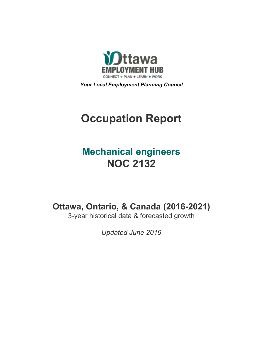

*Your Local Employment Planning Council*

# **Occupation Report**

# **Mechanical engineers NOC 2132**

**Ottawa, Ontario, & Canada (2016-2021)**

3-year historical data & forecasted growth

*Updated June 2019*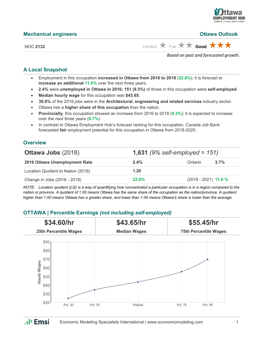

**Ottawa Outlook** 

| <b>Mechanical engineers</b> |  |
|-----------------------------|--|
|                             |  |

NOC 2132 Limited **A** Fair **A** Good **A A** 

*Based on past and forecasted growth.*

# **A Local Snapshot**

- Employment in this occupation **increased in Ottawa from 2016 to 2018** (**22.8%**); it is forecast to **increase an additional 11.6%** over the next three years.
- **2.4%** were **unemployed in Ottawa in 2016; 151 (9.3%)** of those in this occupation were **self-employed**.
- **Median hourly wage** for this occupation was **\$43.65**.
- **30.0%** of the 2018 jobs were in the **Architectural, engineering and related services** industry sector.
- Ottawa has a **higher share of this occupation** than the nation.
- **Provincially**, this occupation showed an increase from 2016 to 2018 (**9.3%**); it is expected to increase over the next three years (**6.7%**).
- In contrast to Ottawa Employment Hub's forecast ranking for this occupation, *Canada Job Bank*  forecasted **fair** employment potential for this occupation in Ottawa from 2018-2020.

### **Overview**

| <b>Ottawa Jobs (2018)</b>          |              | <b>1,631</b> (9% self-employed = $151$ ) |         |  |
|------------------------------------|--------------|------------------------------------------|---------|--|
| 2016 Ottawa Unemployment Rate      | $2.4\%$      | Ontario                                  | $3.7\%$ |  |
| Location Quotient to Nation (2018) | 1.20         |                                          |         |  |
| Change in Jobs (2016 - 2018)       | <b>22.8%</b> | $(2018 - 2021)$ 11.6 %                   |         |  |

*NOTE: Location quotient (LQ) is a way of quantifying how concentrated a particular occupation is in a region compared to the nation or province. A quotient of 1.00 means Ottawa has the same share of the occupation as the nation/province. A quotient higher than 1.00 means Ottawa has a greater share, and lower than 1.00 means Ottawa's share is lower than the average.*

# **OTTAWA | Percentile Earnings** *(not including self-employed)*

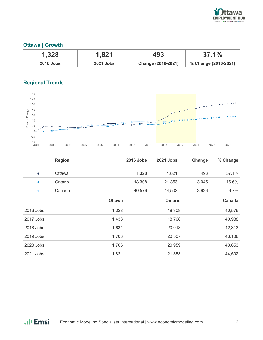

# **Ottawa | Growth**

| 1,328            | 1,821            | 493                | 37.1%                |
|------------------|------------------|--------------------|----------------------|
| <b>2016 Jobs</b> | <b>2021 Jobs</b> | Change (2016-2021) | % Change (2016-2021) |

# **Regional Trends**



|           | <b>Region</b> |               | <b>2016 Jobs</b> | 2021 Jobs | Change | % Change |
|-----------|---------------|---------------|------------------|-----------|--------|----------|
| $\bullet$ | Ottawa        |               | 1,328            | 1,821     | 493    | 37.1%    |
| $\bullet$ | Ontario       |               | 18,308           | 21,353    | 3,045  | 16.6%    |
| $\bullet$ | Canada        |               | 40,576           | 44,502    | 3,926  | 9.7%     |
|           |               | <b>Ottawa</b> |                  | Ontario   |        | Canada   |
| 2016 Jobs |               | 1,328         |                  | 18,308    |        | 40,576   |
| 2017 Jobs |               | 1,433         |                  | 18,768    |        | 40,988   |
| 2018 Jobs |               | 1,631         |                  | 20,013    |        | 42,313   |
| 2019 Jobs |               | 1,703         |                  | 20,507    |        | 43,108   |
| 2020 Jobs |               | 1,766         |                  | 20,959    |        | 43,853   |
| 2021 Jobs |               | 1,821         |                  | 21,353    |        | 44,502   |

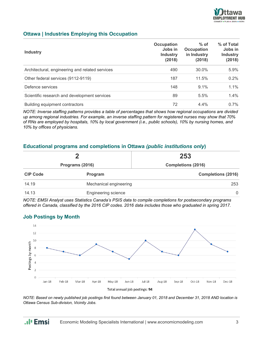

## **Ottawa | Industries Employing this Occupation**

| <b>Industry</b>                                 | <b>Occupation</b><br>Jobs in<br><b>Industry</b><br>(2018) | $%$ of<br><b>Occupation</b><br>in Industry<br>(2018) | % of Total<br>Jobs in<br><b>Industry</b><br>(2018) |
|-------------------------------------------------|-----------------------------------------------------------|------------------------------------------------------|----------------------------------------------------|
| Architectural, engineering and related services | 490                                                       | 30.0%                                                | 5.9%                                               |
| Other federal services (9112-9119)              | 187                                                       | 11.5%                                                | 0.2%                                               |
| Defence services                                | 148                                                       | $9.1\%$                                              | 1.1%                                               |
| Scientific research and development services    | 89                                                        | 5.5%                                                 | $1.4\%$                                            |
| Building equipment contractors                  | 72                                                        | $4.4\%$                                              | $0.7\%$                                            |

*NOTE: Inverse staffing patterns provides a table of percentages that shows how regional occupations are divided up among regional industries. For example, an inverse staffing pattern for registered nurses may show that 70% of RNs are employed by hospitals, 10% by local government (i.e., public schools), 10% by nursing homes, and 10% by offices of physicians.*

#### **Educational programs and completions in Ottawa** *(public institutions only***)**

| Programs (2016)                 |                     | 253<br><b>Completions (2016)</b> |  |
|---------------------------------|---------------------|----------------------------------|--|
|                                 |                     |                                  |  |
| 14.19<br>Mechanical engineering |                     | 253                              |  |
| 14.13                           | Engineering science | $\mathbf{0}$                     |  |

*NOTE: EMSI Analyst uses Statistics Canada's PSIS data to compile completions for postsecondary programs offered in Canada, classified by the 2016 CIP codes. 2016 data includes those who graduated in spring 2017.*

#### **Job Postings by Month**



*NOTE: Based on newly published job postings first found between January 01, 2018 and December 31, 2018 AND location is Ottawa Census Sub-division, Vicinity Jobs.*